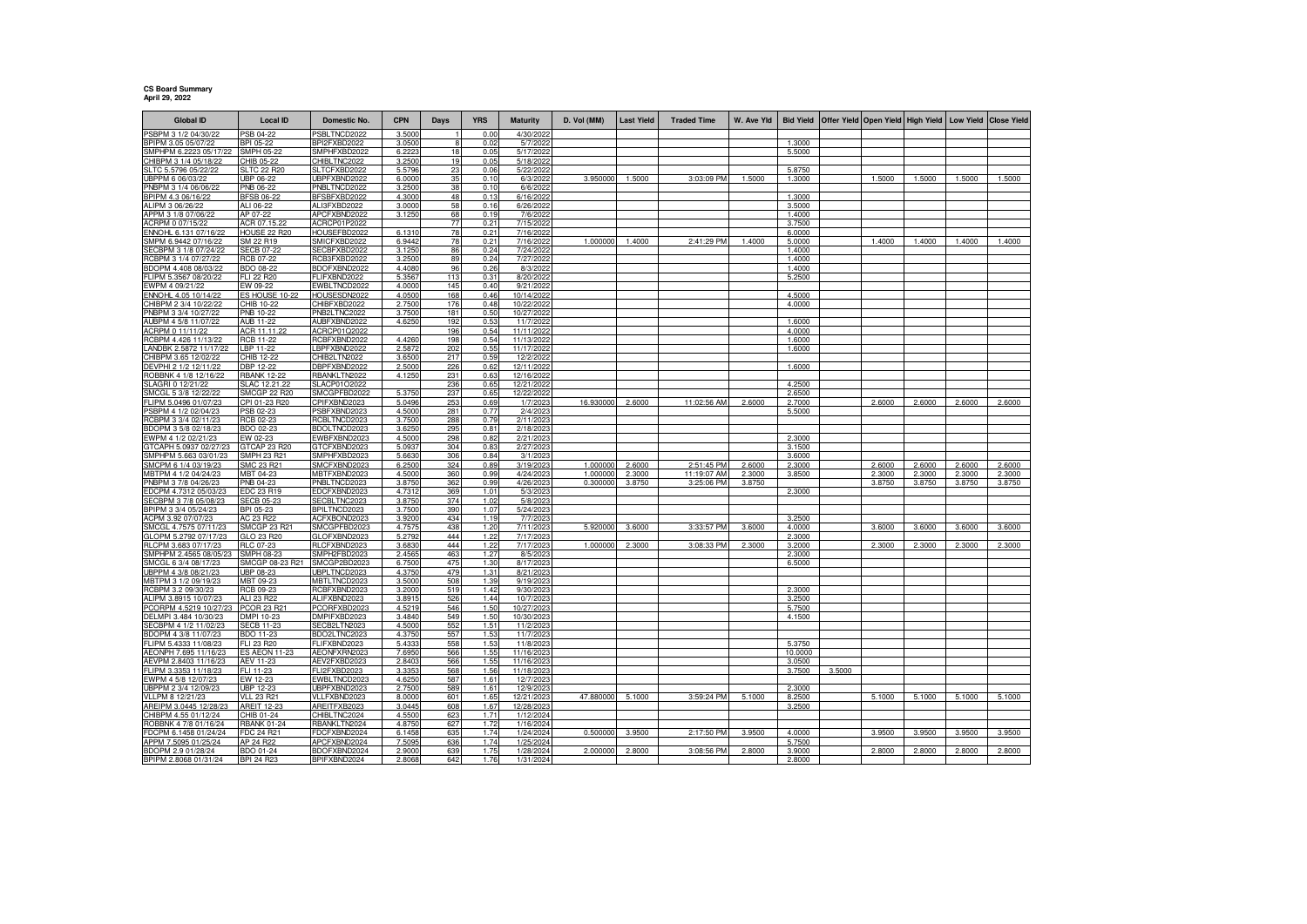## **CS Board Summary April 29, 2022**

| <b>Global ID</b>                                  | <b>Local ID</b>                        | Domestic No.                 | <b>CPN</b>       | Days       | <b>YRS</b>   | <b>Maturity</b>         | D. Vol (MM)          | <b>Last Yield</b> | <b>Traded Time</b>        | W. Ave Yld       |                  | Bid Yield Offer Yield Open Yield High Yield |                  |                  |                  | Low Yield Close Yield |
|---------------------------------------------------|----------------------------------------|------------------------------|------------------|------------|--------------|-------------------------|----------------------|-------------------|---------------------------|------------------|------------------|---------------------------------------------|------------------|------------------|------------------|-----------------------|
| PSBPM 3 1/2 04/30/22                              | PSB 04-22                              | SBLTNCD2022                  | 3.500            |            | 0.00         | 4/30/2022               |                      |                   |                           |                  |                  |                                             |                  |                  |                  |                       |
| BPIPM 3.05 05/07/22                               | BPI 05-22                              | BPI2FXBD2022                 | 3.0500           | 8          | 0.02         | 5/7/202                 |                      |                   |                           |                  | 1.3000           |                                             |                  |                  |                  |                       |
| SMPHPM 6.2223 05/17/22                            | SMPH 05-22                             | SMPHFXBD2022                 | 6.222            | 18         | 0.05         | 5/17/202                |                      |                   |                           |                  | 5.5000           |                                             |                  |                  |                  |                       |
| HIBPM 3 1/4 05/18/22                              | CHIB 05-22                             | CHIBLTNC2022                 | 3.250            | 19         | 0.05<br>0.06 | 5/18/202                |                      |                   |                           |                  | 5.8750           |                                             |                  |                  |                  |                       |
| SLTC 5.5796 05/22/22<br>UBPPM 6 06/03/22          | <b>SLTC 22 R20</b><br><b>UBP 06-22</b> | SLTCFXBD2022<br>UBPFXBND2022 | 5.5796<br>6.0000 | 23<br>35   | 0.10         | 5/22/2022<br>6/3/2022   | 3.950000             | 1.5000            | 3:03:09 PM                | 1.5000           | 1.3000           |                                             | 1.5000           | 1.5000           | 1.5000           | 1.5000                |
| PNBPM 3 1/4 06/06/22                              | PNB 06-22                              | PNBLTNCD2022                 | 3.250            | 38         | 0.10         | 6/6/202                 |                      |                   |                           |                  |                  |                                             |                  |                  |                  |                       |
| BPIPM 4.3 06/16/22                                | <b>BFSB 06-22</b>                      | BFSBFXBD2022                 | 4.3000           | 48         | 0.13         | 6/16/2022               |                      |                   |                           |                  | 1.3000           |                                             |                  |                  |                  |                       |
| ALIPM 3 06/26/22                                  | ALI 06-22                              | ALI3FXBD2022                 | 3.0000           | 58         | 0.16         | 6/26/2022               |                      |                   |                           |                  | 3.5000           |                                             |                  |                  |                  |                       |
| APPM 3 1/8 07/06/22                               | AP 07-22                               | APCFXBND2022                 | 3.1250           | 68         | 0.19         | 7/6/2022                |                      |                   |                           |                  | 1.4000           |                                             |                  |                  |                  |                       |
| ACRPM 0 07/15/22                                  | ACR 07.15.22                           | ACRCP01P2022                 |                  | 77         | 0.21         | 7/15/2022               |                      |                   |                           |                  | 3.7500           |                                             |                  |                  |                  |                       |
| ENNOHL 6.131 07/16/22<br>MPM 6.9442 07/16/22      | HOUSE 22 R20<br>SM 22 R19              | HOUSEFBD2022<br>SMICFXBD2022 | 6.131<br>6.9442  | 78<br>78   | 0.21<br>0.21 | 7/16/202<br>7/16/2022   | 1.00000              | 1.4000            | 2:41:29 PM                | 1.4000           | 6.0000<br>5.0000 |                                             | 1.4000           | 1.4000           | 1.4000           | 1.4000                |
| SECBPM 3 1/8 07/24/22                             | <b>SECB 07-22</b>                      | SECBFXBD2022                 | 3.1250           | 86         | 0.24         | 7/24/2022               |                      |                   |                           |                  | 1.4000           |                                             |                  |                  |                  |                       |
| RCBPM 3 1/4 07/27/22                              | RCB 07-22                              | RCB3FXBD2022                 | 3.250            | 89         | 0.24         | 7/27/2022               |                      |                   |                           |                  | 1.4000           |                                             |                  |                  |                  |                       |
| BDOPM 4.408 08/03/22                              | BDO 08-22                              | BDOFXBND2022                 | 4.4080           | 96         | 0.26         | 8/3/2022                |                      |                   |                           |                  | 1.4000           |                                             |                  |                  |                  |                       |
| FLIPM 5.3567 08/20/22                             | FLI 22 R20                             | FLIFXBND2022                 | 5.356            | 113        | 0.31         | 8/20/2022               |                      |                   |                           |                  | 5.2500           |                                             |                  |                  |                  |                       |
| WPM 4 09/21/22                                    | EW 09-22                               | EWBLTNCD2022                 | 4.000            | 145        | 0.40         | 9/21/202                |                      |                   |                           |                  |                  |                                             |                  |                  |                  |                       |
| ENNOHL 4.05 10/14/22<br>CHIBPM 2 3/4 10/22/22     | ES HOUSE 10-22<br>CHIB 10-22           | HOUSESDN2022<br>CHIBFXBD2022 | 4.0500<br>2.750  | 168<br>176 | 0.46<br>0.48 | 10/14/202<br>10/22/2022 |                      |                   |                           |                  | 4.5000<br>4.0000 |                                             |                  |                  |                  |                       |
| PNBPM 3 3/4 10/27/22                              | PNB 10-22                              | PNB2LTNC2022                 | 3.7500           | 181        | 0.50         | 10/27/2022              |                      |                   |                           |                  |                  |                                             |                  |                  |                  |                       |
| AUBPM 4 5/8 11/07/22                              | <b>AUB 11-22</b>                       | AUBFXBND2022                 | 4.6250           | 192        | 0.53         | 11/7/202                |                      |                   |                           |                  | 1.6000           |                                             |                  |                  |                  |                       |
| ACRPM 0 11/11/22                                  | ACR 11.11.22                           | ACRCP01Q2022                 |                  | 196        | 0.54         | 11/11/202               |                      |                   |                           |                  | 4.0000           |                                             |                  |                  |                  |                       |
| RCBPM 4.426 11/13/22                              | RCB 11-22                              | RCBFXBND2022                 | 4.4260           | 198        | 0.54         | 11/13/2022              |                      |                   |                           |                  | 1.6000           |                                             |                  |                  |                  |                       |
| ANDBK 2.5872 11/17/22                             | LBP 11-22                              | BPFXBND2022                  | 2.587            | 202        | 0.55         | 11/17/2022              |                      |                   |                           |                  | 1.6000           |                                             |                  |                  |                  |                       |
| CHIBPM 3.65 12/02/22<br>DEVPHI 2 1/2 12/11/22     | CHIB 12-22<br>DBP 12-22                | CHIB2LTN2022<br>DBPFXBND2022 | 3.650<br>2.500   | 217<br>226 | 0.59<br>0.62 | 12/2/202<br>12/11/2022  |                      |                   |                           |                  | 1.6000           |                                             |                  |                  |                  |                       |
| ROBBNK 4 1/8 12/16/22                             | <b>RBANK 12-22</b>                     | RBANKLTN2022                 | 4.125            | 231        | 0.63         | 12/16/202               |                      |                   |                           |                  |                  |                                             |                  |                  |                  |                       |
| SLAGRI 0 12/21/22                                 | SLAC 12.21.22                          | SLACP01O2022                 |                  | 236        | 0.65         | 12/21/202               |                      |                   |                           |                  | 4.2500           |                                             |                  |                  |                  |                       |
| SMCGL 5 3/8 12/22/22                              | <b>SMCGP 22 R20</b>                    | SMCGPFBD2022                 | 5.375            | 237        | 0.65         | 12/22/2022              |                      |                   |                           |                  | 2.6500           |                                             |                  |                  |                  |                       |
| FLIPM 5.0496 01/07/23                             | CPI 01-23 R20                          | CPIFXBND2023                 | 5.049            | 253        | 0.69         | 1/7/202                 | 16.930000            | 2.6000            | 11:02:56 AM               | 2.6000           | 2.7000           |                                             | 2.6000           | 2.6000           | 2.6000           | 2.6000                |
| PSBPM 4 1/2 02/04/23<br>RCBPM 3 3/4 02/11/23      | PSB 02-23<br>RCB 02-23                 | PSBFXBND2023<br>RCBLTNCD2023 | 4.500<br>3.750   | 281<br>288 | 0.77<br>0.79 | 2/4/202<br>2/11/202     |                      |                   |                           |                  | 5.5000           |                                             |                  |                  |                  |                       |
| BDOPM 3 5/8 02/18/23                              | BDO 02-23                              | BDOLTNCD2023                 | 3.625            | 295        | 0.81         | 2/18/202                |                      |                   |                           |                  |                  |                                             |                  |                  |                  |                       |
| EWPM 4 1/2 02/21/23                               | EW 02-23                               | EWBFXBND2023                 | 4.5000           | 298        | 0.82         | 2/21/2023               |                      |                   |                           |                  | 2.3000           |                                             |                  |                  |                  |                       |
| GTCAPH 5.0937 02/27/23                            | GTCAP 23 R20                           | GTCFXBND2023                 | 5.0937           | 304        | 0.83         | 2/27/2023               |                      |                   |                           |                  | 3.1500           |                                             |                  |                  |                  |                       |
| SMPHPM 5.663 03/01/23                             | SMPH 23 R21                            | SMPHFXBD2023                 | 5.663            | 306        | 0.84         | 3/1/202                 |                      |                   |                           |                  | 3.6000           |                                             |                  |                  |                  |                       |
| SMCPM 6 1/4 03/19/23                              | SMC 23 R21                             | SMCFXBND2023                 | 6.2500           | 324        | 0.89         | 3/19/202                | 1.000000             | 2.6000            | 2:51:45 PM                | 2.6000           | 2.3000           |                                             | 2.6000           | 2.6000           | 2.6000           | 2.6000                |
| MBTPM 4 1/2 04/24/23<br>PNBPM 3 7/8 04/26/23      | MBT 04-23<br>PNB 04-23                 | MBTFXBND2023<br>PNBLTNCD2023 | 4.5000<br>3.8750 | 360<br>362 | 0.99<br>0.99 | 4/24/202<br>4/26/2023   | 1.000000<br>0.300000 | 2.3000<br>3.8750  | 11:19:07 AM<br>3:25:06 PM | 2.3000<br>3.8750 | 3.8500           |                                             | 2.3000<br>3.8750 | 2.3000<br>3.8750 | 2.3000<br>3.8750 | 2.3000<br>3.8750      |
| EDCPM 4.7312 05/03/23                             | EDC 23 R19                             | EDCFXBND2023                 | 4.7312           | 369        | 1.01         | 5/3/2023                |                      |                   |                           |                  | 2.3000           |                                             |                  |                  |                  |                       |
| SECBPM 3 7/8 05/08/23                             | <b>SECB 05-23</b>                      | SECBLTNC2023                 | 3.8750           | 374        | 1.02         | 5/8/202                 |                      |                   |                           |                  |                  |                                             |                  |                  |                  |                       |
| BPIPM 3 3/4 05/24/23                              | BPI 05-23                              | BPILTNCD2023                 | 3.7500           | 390        | 1.07         | 5/24/202                |                      |                   |                           |                  |                  |                                             |                  |                  |                  |                       |
| ACPM 3.92 07/07/23                                | AC 23 R22                              | ACFXBOND2023                 | 3.9200           | 434        | 1.19         | 7/7/202                 |                      |                   |                           |                  | 3.2500           |                                             |                  |                  |                  |                       |
| SMCGL 4.7575 07/11/23                             | SMCGP 23 R21                           | SMCGPFBD2023                 | 4.757            | 438        | 1.20         | 7/11/202                | 5.920000             | 3.6000            | 3:33:57 PM                | 3.6000           | 4.0000           |                                             | 3.6000           | 3.6000           | 3.6000           | 3.6000                |
| GLOPM 5.2792 07/17/23<br>RLCPM 3.683 07/17/23     | GLO 23 R20<br><b>RLC 07-23</b>         | GLOFXBND2023<br>RLCFXBND2023 | 5.2792<br>3.683  | 444<br>444 | 1.22<br>1.22 | 7/17/2023<br>7/17/202   | 1.00000              | 2.3000            | 3:08:33 PM                | 2.3000           | 2.3000<br>3.2000 |                                             | 2.3000           | 2.3000           | 2.3000           | 2.3000                |
| SMPHPM 2.4565 08/05/                              | SMPH 08-23                             | SMPH2FBD2023                 | 2.456            | 463        | 1.27         | 8/5/202                 |                      |                   |                           |                  | 2.3000           |                                             |                  |                  |                  |                       |
| SMCGL 6 3/4 08/17/23                              | SMCGP 08-23 R21                        | SMCGP2BD2023                 | 6.7500           | 475        | 1.30         | 8/17/202                |                      |                   |                           |                  | 6.5000           |                                             |                  |                  |                  |                       |
| UBPPM 4 3/8 08/21/23                              | UBP 08-23                              | JBPLTNCD2023                 | 4.375            | 479        | 1.31         | 8/21/202                |                      |                   |                           |                  |                  |                                             |                  |                  |                  |                       |
| MBTPM 3 1/2 09/19/23                              | MBT 09-23                              | MBTLTNCD2023                 | 3.500            | 508        | 1.39         | 9/19/2023               |                      |                   |                           |                  |                  |                                             |                  |                  |                  |                       |
| <b>CBPM 3.2 09/30/23</b><br>ALIPM 3.8915 10/07/23 | RCB 09-23<br><b>ALI 23 R22</b>         | RCBFXBND2023<br>ALIFXBND2023 | 3.200<br>3.891   | 519<br>526 | 1.42<br>1.44 | 9/30/202<br>10/7/202    |                      |                   |                           |                  | 2.3000<br>3.2500 |                                             |                  |                  |                  |                       |
| CORPM 4.5219 10/27/23                             | <b>PCOR 23 R21</b>                     | PCORFXBD2023                 | 4.5219           | 546        | 1.50         | 10/27/2023              |                      |                   |                           |                  | 5.7500           |                                             |                  |                  |                  |                       |
| DELMPI 3.484 10/30/23                             | DMPI 10-23                             | DMPIFXBD2023                 | 3.4840           | 549        | 1.50         | 10/30/2023              |                      |                   |                           |                  | 4.1500           |                                             |                  |                  |                  |                       |
| SECBPM 4 1/2 11/02/23                             | <b>SECB 11-23</b>                      | SECB2LTN2023                 | 4.500            | 552        | 1.51         | 11/2/2023               |                      |                   |                           |                  |                  |                                             |                  |                  |                  |                       |
| BDOPM 4 3/8 11/07/23                              | BDO 11-23                              | BDO2LTNC2023                 | 4.3750           | 557        | 1.53         | 11/7/2023               |                      |                   |                           |                  |                  |                                             |                  |                  |                  |                       |
| FLIPM 5.4333 11/08/23                             | FLI 23 R20                             | FLIFXBND2023                 | 5.433            | 558        | 1.53         | 11/8/202                |                      |                   |                           |                  | 5.3750           |                                             |                  |                  |                  |                       |
| AEONPH 7.695 11/16/23<br>AEVPM 2.8403 11/16/23    | <b>ES AEON 11-23</b>                   | AEONFXRN2023<br>AEV2FXBD2023 | 7.695<br>2.8403  | 566<br>566 | 1.55<br>1.55 | 11/16/202               |                      |                   |                           |                  | 10.0000          |                                             |                  |                  |                  |                       |
| LIPM 3.3353 11/18/23                              | AEV 11-23<br>FLI 11-23                 | FLI2FXBD2023                 | 3.335            | 568        | 1.56         | 11/16/202<br>11/18/2023 |                      |                   |                           |                  | 3.0500<br>3.7500 | 3.5000                                      |                  |                  |                  |                       |
| EWPM 4 5/8 12/07/23                               | EW 12-23                               | WBLTNCD2023                  | 4.6250           | 587        | 1.61         | 12/7/202                |                      |                   |                           |                  |                  |                                             |                  |                  |                  |                       |
| UBPPM 2 3/4 12/09/23                              | <b>UBP 12-23</b>                       | <b>JBPFXBND2023</b>          | 2.7500           | 589        | 1.61         | 12/9/202                |                      |                   |                           |                  | 2.3000           |                                             |                  |                  |                  |                       |
| VLLPM 8 12/21/23                                  | <b>VLL 23 R21</b>                      | VLLFXBND2023                 | 8.000            | 601        | 1.65         | 12/21/202               | 47.880000            | 5.1000            | 3:59:24 PM                | 5.1000           | 8.2500           |                                             | 5.1000           | 5.1000           | 5.1000           | 5.1000                |
| AREIPM 3.0445 12/28/23                            | <b>AREIT 12-23</b>                     | AREITFXB2023                 | 3.0445           | 608        | 1.67         | 12/28/2023              |                      |                   |                           |                  | 3.2500           |                                             |                  |                  |                  |                       |
| CHIBPM 4.55 01/12/24                              | CHIB 01-24<br><b>RBANK 01-24</b>       | CHIBLTNC2024                 | 4.550<br>4.875   | 623        | 1.71<br>1.72 | 1/12/202                |                      |                   |                           |                  |                  |                                             |                  |                  |                  |                       |
| ROBBNK 4 7/8 01/16/24<br>FDCPM 6.1458 01/24/24    | FDC 24 R21                             | RBANKLTN2024<br>FDCFXBND2024 | 6.1458           | 627<br>635 | 1.74         | 1/16/2024<br>1/24/2024  | 0.500000             | 3.9500            | 2:17:50 PM                | 3.9500           | 4.0000           |                                             | 3.9500           | 3.9500           | 3.9500           | 3.9500                |
| APPM 7.5095 01/25/24                              | AP 24 R22                              | APCFXBND2024                 | 7.509            | 636        | 1.74         | 1/25/202                |                      |                   |                           |                  | 5.7500           |                                             |                  |                  |                  |                       |
| BDOPM 2.9 01/28/24                                | BDO 01-24                              | BDOFXBND2024                 | 2.900            | 639        | 1.75         | 1/28/2024               | 2.000000             | 2.8000            | 3:08:56 PM                | 2.8000           | 3.9000           |                                             | 2.8000           | 2.8000           | 2.8000           | 2.8000                |
| BPIPM 2.8068 01/31/24                             | <b>BPI 24 R23</b>                      | BPIFXBND2024                 | 2.8068           | 642        | 1.76         | 1/31/2024               |                      |                   |                           |                  | 2.8000           |                                             |                  |                  |                  |                       |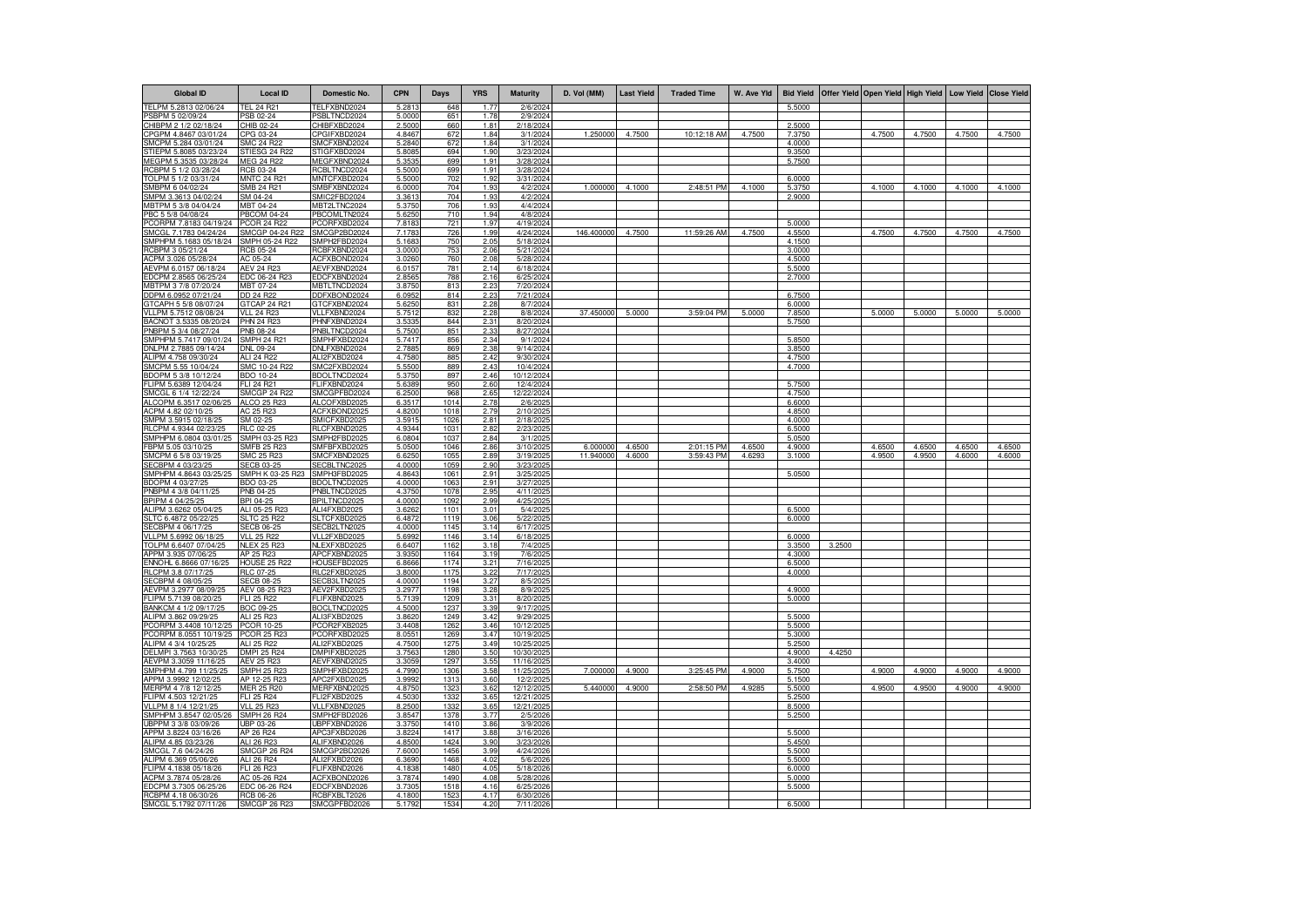| <b>Global ID</b>                               | <b>Local ID</b>                       | Domestic No.                 | <b>CPN</b>       | Days         | <b>YRS</b>   | <b>Maturity</b>        | D. Vol (MM) | <b>Last Yield</b> | <b>Traded Time</b> | W. Ave Yld |                  | Bid Yield Offer Yield Open Yield |        |        |        | High Yield Low Yield Close Yield |
|------------------------------------------------|---------------------------------------|------------------------------|------------------|--------------|--------------|------------------------|-------------|-------------------|--------------------|------------|------------------|----------------------------------|--------|--------|--------|----------------------------------|
| TELPM 5.2813 02/06/24                          | <b>TEL 24 R21</b>                     | FELFXBND2024                 | 5.2813           | 648          | 1.77         | 2/6/2024               |             |                   |                    |            | 5.5000           |                                  |        |        |        |                                  |
| PSBPM 5 02/09/24                               | PSB 02-24                             | PSBLTNCD2024                 | 5.0000           | 651          | 1.78         | 2/9/2024               |             |                   |                    |            |                  |                                  |        |        |        |                                  |
| CHIBPM 2 1/2 02/18/24                          | CHIB 02-24                            | CHIBFXBD2024                 | 2.5000           | 660          | 1.81         | 2/18/2024              |             |                   |                    |            | 2.5000           |                                  |        |        |        |                                  |
| CPGPM 4.8467 03/01/24                          | CPG 03-24                             | CPGIFXBD2024                 | 4.8467           | 672          | 1.84         | 3/1/2024               | 1.250000    | 4.7500            | 10:12:18 AM        | 4.7500     | 7.3750           |                                  | 4.7500 | 4.7500 | 4.7500 | 4.7500                           |
| SMCPM 5.284 03/01/24                           | SMC 24 R22                            | SMCFXBND2024                 | 5.2840           | 672          | 1.84         | 3/1/2024               |             |                   |                    |            | 4.0000           |                                  |        |        |        |                                  |
| STIEPM 5.8085 03/23/24                         | STIESG 24 R22                         | STIGFXBD2024                 | 5.8085           | 694          | 1.90         | 3/23/2024              |             |                   |                    |            | 9.3500           |                                  |        |        |        |                                  |
| MEGPM 5.3535 03/28/24<br>RCBPM 5 1/2 03/28/24  | MEG 24 R22<br>RCB 03-24               | MEGFXBND2024<br>RCBLTNCD2024 | 5.353<br>5.5000  | 699<br>699   | 1.91<br>1.91 | 3/28/2024<br>3/28/2024 |             |                   |                    |            | 5.7500           |                                  |        |        |        |                                  |
| TOLPM 5 1/2 03/31/24                           | <b>MNTC 24 R21</b>                    | MNTCFXBD2024                 | 5.5000           | 702          | 1.92         | 3/31/2024              |             |                   |                    |            | 6.0000           |                                  |        |        |        |                                  |
| SMBPM 6 04/02/24                               | SMB 24 R21                            | SMBFXBND2024                 | 6.0000           | 704          | 1.93         | 4/2/2024               | 1.000000    | $-4.1000$         | 2:48:51 PM         | 4.1000     | 5.3750           |                                  | 4.1000 | 4.1000 | 4.1000 | 4.1000                           |
| SMPM 3.3613 04/02/24                           | SM 04-24                              | SMIC2FBD2024                 | 3.3613           | 704          | 1.93         | 4/2/2024               |             |                   |                    |            | 2.9000           |                                  |        |        |        |                                  |
| MBTPM 5 3/8 04/04/24                           | MBT 04-24                             | MBT2LTNC2024                 | 5.3750           | 706          | 1.93         | 4/4/2024               |             |                   |                    |            |                  |                                  |        |        |        |                                  |
| PBC 5 5/8 04/08/24                             | <b>PBCOM 04-24</b>                    | PBCOMLTN2024                 | 5.6250           | 710          | 1.94         | 4/8/2024               |             |                   |                    |            |                  |                                  |        |        |        |                                  |
| PCORPM 7.8183 04/19/24                         | <b>PCOR 24 R22</b>                    | PCORFXBD2024                 | 7.8183           | 721          | 1.97         | 4/19/2024              |             |                   |                    |            | 5.0000           |                                  |        |        |        |                                  |
| SMCGL 7.1783 04/24/24                          | SMCGP 04-24 R22                       | SMCGP2BD2024                 | 7.1783           | 726          | 1.99         | 4/24/2024              | 146.400000  | 4.7500            | 11:59:26 AM        | 4.7500     | 4.5500           |                                  | 4.7500 | 4.7500 | 4.7500 | 4.7500                           |
| SMPHPM 5.1683 05/18/24                         | SMPH 05-24 R22                        | SMPH2FBD2024                 | 5.1683           | 750          | 2.05         | 5/18/2024              |             |                   |                    |            | 4.1500           |                                  |        |        |        |                                  |
| RCBPM 3 05/21/24                               | <b>RCB 05-24</b>                      | RCBFXBND2024                 | 3.0000           | 753          | 2.06         | 5/21/2024              |             |                   |                    |            | 3.0000           |                                  |        |        |        |                                  |
| ACPM 3.026 05/28/24                            | AC 05-24                              | ACFXBOND2024                 | 3.026            | 760          | 2.08         | 5/28/2024              |             |                   |                    |            | 4.5000           |                                  |        |        |        |                                  |
| AEVPM 6.0157 06/18/24                          | <b>AEV 24 R23</b>                     | AEVFXBND2024                 | 6.015            | 781          | 2.14         | 6/18/2024              |             |                   |                    |            | 5.5000           |                                  |        |        |        |                                  |
| EDCPM 2.8565 06/25/24                          | EDC 06-24 R23                         | EDCFXBND2024                 | 2.856            | 788          | 2.16         | 6/25/2024              |             |                   |                    |            | 2.7000           |                                  |        |        |        |                                  |
| MBTPM 3 7/8 07/20/24                           | MBT 07-24                             | MBTLTNCD2024                 | 3.875            | 813          | 2.23         | 7/20/2024              |             |                   |                    |            |                  |                                  |        |        |        |                                  |
| DDPM 6.0952 07/21/24                           | DD 24 R22                             | DDFXBOND2024                 | 6.0952           | 814          | 2.23         | 7/21/2024              |             |                   |                    |            | 6.7500           |                                  |        |        |        |                                  |
| GTCAPH 5 5/8 08/07/24                          | GTCAP 24 R2<br>VI L 24 R23            | GTCFXBND2024                 | 5.6250           | 831          | 2.28         | 8/7/2024               | 37.450000   | 5.0000            | 3:59:04 PM         | 5.0000     | 6.0000           |                                  | 5.0000 | 5.0000 | 5.0000 | 5.0000                           |
| VLLPM 5.7512 08/08/24                          | PHN 24 R23                            | VLLFXBND2024                 | 5.7512           | 832          | 2.28         | 8/8/2024               |             |                   |                    |            | 7.8500           |                                  |        |        |        |                                  |
| BACNOT 3.5335 08/20/24<br>PNBPM 5 3/4 08/27/24 | PNB 08-24                             | PHNFXBND2024<br>PNBLTNCD2024 | 3.5335<br>5.7500 | 844<br>851   | 2.31<br>2.33 | 8/20/2024<br>8/27/2024 |             |                   |                    |            | 5.7500           |                                  |        |        |        |                                  |
| SMPHPM 5.7417 09/01/24                         | <b>SMPH 24 R21</b>                    | SMPHFXBD2024                 | 5.7417           | 856          | 2.34         | 9/1/2024               |             |                   |                    |            | 5.8500           |                                  |        |        |        |                                  |
| DNLPM 2.7885 09/14/24                          | DNL 09-24                             | DNLFXBND2024                 | 2.7885           | 869          | 2.38         | 9/14/2024              |             |                   |                    |            | 3.8500           |                                  |        |        |        |                                  |
| ALIPM 4.758 09/30/24                           | ALI 24 R22                            | ALI2FXBD2024                 | 4.7580           | 885          | 2.42         | 9/30/2024              |             |                   |                    |            | 4.7500           |                                  |        |        |        |                                  |
| SMCPM 5.55 10/04/24                            | SMC 10-24 R22                         | SMC2FXBD2024                 | 5.5500           | 889          | 2.43         | 10/4/2024              |             |                   |                    |            | 4.7000           |                                  |        |        |        |                                  |
| BDOPM 5 3/8 10/12/24                           | BDO 10-24                             | BDOLTNCD2024                 | 5.3750           | 897          | 2.46         | 10/12/2024             |             |                   |                    |            |                  |                                  |        |        |        |                                  |
| FLIPM 5.6389 12/04/24                          | FLI 24 R21                            | FLIFXBND2024                 | 5.6389           | 950          | 2.60         | 12/4/2024              |             |                   |                    |            | 5.7500           |                                  |        |        |        |                                  |
| SMCGL 6 1/4 12/22/24                           | SMCGP 24 R22                          | SMCGPFBD2024                 | 6.2500           | 968          | 2.65         | 12/22/2024             |             |                   |                    |            | 4.7500           |                                  |        |        |        |                                  |
| ALCOPM 6.3517 02/06/25                         | ALCO 25 B23                           | ALCOFXBD2025                 | 6.3517           | 1014         | 2.78         | 2/6/2025               |             |                   |                    |            | 6.6000           |                                  |        |        |        |                                  |
| ACPM 4.82 02/10/25                             | AC 25 R23                             | ACFXBOND2025                 | 4.8200           | 1018         | 2.79         | 2/10/2025              |             |                   |                    |            | 4.8500           |                                  |        |        |        |                                  |
| SMPM 3.5915 02/18/25                           | SM 02-25                              | SMICFXBD2025                 | 3.5915           | 1026         | 2.81         | 2/18/2025              |             |                   |                    |            | 4.0000           |                                  |        |        |        |                                  |
| RLCPM 4.9344 02/23/25                          | RLC 02-25                             | <b>RLCEXBND2025</b>          | 4.9344           | 1031         | 2.82         | 2/23/2025              |             |                   |                    |            | 6.5000           |                                  |        |        |        |                                  |
| SMPHPM 6.0804 03/01/25                         | SMPH 03-25 R23                        | SMPH2FBD2025                 | 6.0804           | 1037         | 2.84         | 3/1/2025               |             |                   |                    |            | 5.0500           |                                  |        |        |        |                                  |
| FBPM 5.05 03/10/25                             | SMFB 25 R23                           | MFBFXBD2025                  | 5.0500           | 1046         | 2.86         | 3/10/2025              | 6.000000    | 4.6500            | 2:01:15 PM         | 4.6500     | 4.9000           |                                  | 4.6500 | 4.6500 | 4.6500 | 4.6500                           |
| SMCPM 6 5/8 03/19/2                            | SMC 25 R23                            | SMCFXBND2025                 | 6.6250           | 1055         | 2.89         | 3/19/2025              | 11.940000   | 4.6000            | 3:59:43 PM         | 4.6293     | 3.1000           |                                  | 4.9500 | 4.9500 | 4.6000 | 4.6000                           |
| SECBPM 4 03/23/25                              | <b>SECB 03-25</b><br>SMPH K 03-25 R23 | SECBLTNC2025                 | 4.0000           | 1059         | 2.90<br>2.91 | 3/23/2025              |             |                   |                    |            |                  |                                  |        |        |        |                                  |
| SMPHPM 4.8643 03/25/25<br>BDOPM 4 03/27/25     | BDO 03-25                             | SMPH3FBD2025<br>BDOLTNCD2025 | 4.8643<br>4.0000 | 1061<br>1063 | 2.91         | 3/25/2025<br>3/27/2025 |             |                   |                    |            | 5.0500           |                                  |        |        |        |                                  |
| PNBPM 4 3/8 04/11/25                           | PNB 04-25                             | PNBLTNCD2025                 | 4.3750           | 1078         | 2.95         | 4/11/2025              |             |                   |                    |            |                  |                                  |        |        |        |                                  |
| BPIPM 4 04/25/25                               | BPI 04-25                             | BPILTNCD2025                 | 4.0000           | 1092         | 2.99         | 4/25/2025              |             |                   |                    |            |                  |                                  |        |        |        |                                  |
| ALIPM 3.6262 05/04/25                          | ALI 05-25 R23                         | ALI4FXBD2025                 | 3.6262           | 1101         | 3.01         | 5/4/2025               |             |                   |                    |            | 6.5000           |                                  |        |        |        |                                  |
| SLTC 6.4872 05/22/25                           | <b>SLTC 25 R22</b>                    | SLTCFXBD2025                 | 6.4872           | 1119         | 3.06         | 5/22/2025              |             |                   |                    |            | 6.0000           |                                  |        |        |        |                                  |
| SECBPM 4 06/17/25                              | <b>SECB 06-25</b>                     | SECB2LTN2025                 | 4.0000           | 1145         | 3.14         | 6/17/2025              |             |                   |                    |            |                  |                                  |        |        |        |                                  |
| VLLPM 5.6992 06/18/25                          | <b>VLL 25 R22</b>                     | VLL2FXBD2025                 | 5.6992           | 1146         | 3.14         | 6/18/2025              |             |                   |                    |            | 6.0000           |                                  |        |        |        |                                  |
| TOLPM 6.6407 07/04/25                          | <b>NLEX 25 R23</b>                    | NLEXFXBD2025                 | 6.6407           | 1162         | 3.18         | 7/4/2025               |             |                   |                    |            | 3.3500           | 3.2500                           |        |        |        |                                  |
| APPM 3.935 07/06/25                            | AP 25 R23                             | APCFXBND2025                 | 3.9350           | 1164         | 3.19         | 7/6/2025               |             |                   |                    |            | 4.3000           |                                  |        |        |        |                                  |
| ENNOHL 6.8666 07/16/25                         | <b>HOUSE 25 R22</b>                   | HOUSEFBD2025                 | 6.8666           | 1174         | 3.21         | 7/16/2025              |             |                   |                    |            | 6.5000           |                                  |        |        |        |                                  |
| RLCPM 3.8 07/17/25                             | RLC 07-25                             | RLC2FXBD2025                 | 3.8000           | 1175         | 3.22         | 7/17/2025              |             |                   |                    |            | 4.0000           |                                  |        |        |        |                                  |
| SECBPM 4 08/05/25                              | <b>SECB 08-25</b>                     | SECB3LTN2025                 | 4.0000           | 1194         | 3.27         | 8/5/2025               |             |                   |                    |            |                  |                                  |        |        |        |                                  |
| AEVPM 3.2977 08/09/25                          | AEV 08-25 R23<br>FLI 25 R22           | AEV2FXBD2025                 | 3.2977           | 1198         | 3.28         | 8/9/2025               |             |                   |                    |            | 4.9000           |                                  |        |        |        |                                  |
| FLIPM 5.7139 08/20/25<br>BANKCM 4 1/2 09/17/25 | BOC 09-25                             | FLIFXBND2025<br>BOCLTNCD2025 | 5.7139<br>4.5000 | 1209<br>1237 | 3.31<br>3.39 | 8/20/2025<br>9/17/2025 |             |                   |                    |            | 5.0000           |                                  |        |        |        |                                  |
| ALIPM 3.862 09/29/25                           | ALL 25 R23                            | ALI3FXBD2025                 | 3.8620           | 1249         | 3.42         | 9/29/2025              |             |                   |                    |            | 5.5000           |                                  |        |        |        |                                  |
| PCORPM 3.4408 10/12/25                         | PCOR 10-25                            | PCOR2FXB2025                 | 3.4408           | 1262         | 3.46         | 10/12/2025             |             |                   |                    |            | 5.5000           |                                  |        |        |        |                                  |
| PCORPM 8.0551 10/19/25                         | <b>PCOR 25 R23</b>                    | PCORFXBD2025                 | 8.0551           | 1269         | 3.47         | 10/19/2025             |             |                   |                    |            | 5.3000           |                                  |        |        |        |                                  |
| ALIPM 4 3/4 10/25/25                           | ALI 25 R22                            | ALI2FXBD2025                 | 4.7500           | 1275         | 3.49         | 10/25/2025             |             |                   |                    |            | 5.2500           |                                  |        |        |        |                                  |
| DELMPI 3.7563 10/30/25                         | DMPI 25 R24                           | DMPIFXBD2025                 | 3.7563           | 1280         | 3.50         | 10/30/2025             |             |                   |                    |            | 4.9000           | 4.4250                           |        |        |        |                                  |
| AEVPM 3.3059 11/16/25                          | AEV 25 R23                            | AEVFXBND2025                 | 3.3059           | 1297         | 3.55         | 11/16/2025             |             |                   |                    |            | 3.4000           |                                  |        |        |        |                                  |
| SMPHPM 4.799 11/25/25                          | <b>SMPH 25 R23</b>                    | SMPHFXBD2025                 | 4.7990           | 1306         | 3.58         | 11/25/2025             | 7.000000    | 4.9000            | 3:25:45 PM         | 4.9000     | 5.7500           |                                  | 4.9000 | 4.9000 | 4.9000 | 4.9000                           |
| APPM 3.9992 12/02/25                           | AP 12-25 R23                          | APC2FXBD2025                 | 3.9992           | 1313         | 3.60         | 12/2/2025              |             |                   |                    |            | 5.1500           |                                  |        |        |        |                                  |
| MERPM 4 7/8 12/12/25                           | MER 25 R20                            | MERFXBND2025                 | 4.8750           | 1323         | 3.62         | 12/12/2025             | 5.440000    | 4.9000            | 2:58:50 PM         | 4.9285     | 5.5000           |                                  | 4.9500 | 4.9500 | 4.9000 | 4.9000                           |
| FLIPM 4.503 12/21/25                           | FLI 25 R24                            | FLI2FXBD2025                 | 4.5030           | 1332         | 3.65         | 12/21/2025             |             |                   |                    |            | 5.2500           |                                  |        |        |        |                                  |
| VLLPM 8 1/4 12/21/25                           | <b>VLL 25 R23</b>                     | VLLFXBND2025                 | 8.2500           | 1332         | 3.65         | 12/21/2025             |             |                   |                    |            | 8.5000           |                                  |        |        |        |                                  |
| SMPHPM 3.8547 02/05/2                          | SMPH 26 R24                           | SMPH2FBD2026                 | 3.8547           | 1378         | 3.77         | 2/5/2026               |             |                   |                    |            | 5.2500           |                                  |        |        |        |                                  |
| UBPPM 3 3/8 03/09/26                           | UBP 03-26                             | UBPFXBND2026                 | 3.3750           | 1410         | 3.86         | 3/9/2026               |             |                   |                    |            |                  |                                  |        |        |        |                                  |
| APPM 3.8224 03/16/26                           | AP 26 R24                             | APC3FXBD2026                 | 3.8224           | 1417         | 3.88         | 3/16/2026              |             |                   |                    |            | 5.5000           |                                  |        |        |        |                                  |
| ALIPM 4.85 03/23/26                            | ALI 26 R23                            | ALIFXBND2026                 | 4.8500           | 1424         | 3.90         | 3/23/2026              |             |                   |                    |            | 5.4500           |                                  |        |        |        |                                  |
| SMCGL 7.6 04/24/26<br>ALIPM 6.369 05/06/26     | <b>SMCGP 26 R24</b><br>ALI 26 R24     | SMCGP2BD2026<br>ALI2FXBD2026 | 7.6000<br>6.3690 | 1456<br>1468 | 3.99<br>4.02 | 4/24/2026<br>5/6/2026  |             |                   |                    |            | 5.5000<br>5.5000 |                                  |        |        |        |                                  |
| FLIPM 4.1838 05/18/26                          | FLI 26 B23                            | FLIFXBND2026                 | 4.1838           | 1480         | 4.05         | 5/18/2026              |             |                   |                    |            | 6.0000           |                                  |        |        |        |                                  |
| ACPM 3.7874 05/28/26                           | AC 05-26 R24                          | ACFXBOND2026                 | 3.7874           | 1490         | 4.08         | 5/28/2026              |             |                   |                    |            | 5.0000           |                                  |        |        |        |                                  |
| EDCPM 3.7305 06/25/26                          | EDC 06-26 R24                         | EDCFXBND2026                 | 3.7305           | 1518         | 4.16         | 6/25/2026              |             |                   |                    |            | 5.5000           |                                  |        |        |        |                                  |
| RCBPM 4.18 06/30/26                            | <b>RCB 06-26</b>                      | RCBFXBLT2026                 | 4.1800           | 1523         | 4.17         | 6/30/2026              |             |                   |                    |            |                  |                                  |        |        |        |                                  |
| SMCGL 5.1792 07/11/26                          | <b>SMCGP 26 R23</b>                   | SMCGPFBD2026                 | 5.1792           | 1534         | 4.20         | 7/11/2026              |             |                   |                    |            | 6.5000           |                                  |        |        |        |                                  |